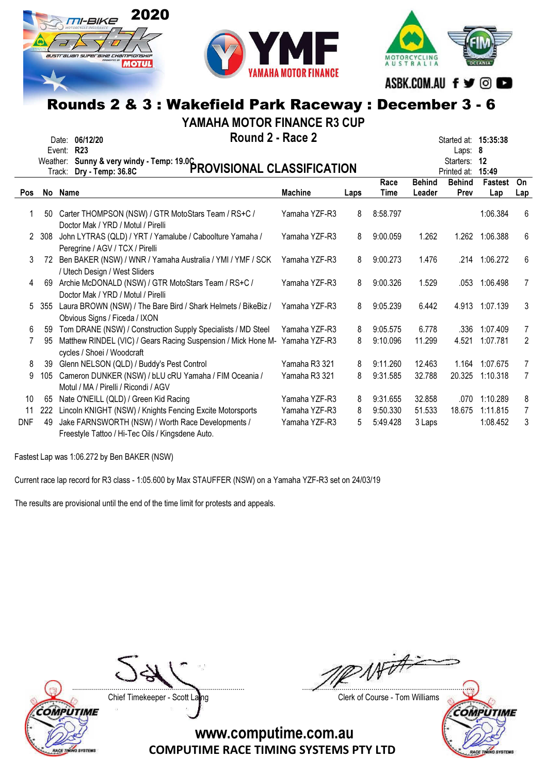



MOTORCYCLING<br>AUSTRALIA ASBK.COM.AU f y © D

## Rounds 2 & 3 : Wakefield Park Raceway : December 3 - 6

YAMAHA MOTOR FINANCE R3 CUP

|            |     | Round 2 - Race 2<br>Date: 06/12/20<br>Event: R23<br>Weather: Sunny & very windy - Temp: 19.0C<br>PROVISIONAL CLASSIFICATION |                |      |              |                         | Started at: 15:35:38<br>Laps: $8$<br>Starters:<br>Printed at: | 12<br>15:49    |                |
|------------|-----|-----------------------------------------------------------------------------------------------------------------------------|----------------|------|--------------|-------------------------|---------------------------------------------------------------|----------------|----------------|
| <b>Pos</b> |     | No Name                                                                                                                     | <b>Machine</b> | Laps | Race<br>Time | <b>Behind</b><br>Leader | <b>Behind</b><br>Prev                                         | Fastest<br>Lap | On<br>Lap      |
|            | 50  | Carter THOMPSON (NSW) / GTR MotoStars Team / RS+C /<br>Doctor Mak / YRD / Motul / Pirelli                                   | Yamaha YZF-R3  | 8    | 8:58.797     |                         |                                                               | 1:06.384       | 6              |
| 2          | 308 | John LYTRAS (QLD) / YRT / Yamalube / Caboolture Yamaha /<br>Peregrine / AGV / TCX / Pirelli                                 | Yamaha YZF-R3  | 8    | 9:00.059     | 1.262                   |                                                               | 1.262 1:06.388 | 6              |
| 3          | 72  | Ben BAKER (NSW) / WNR / Yamaha Australia / YMI / YMF / SCK<br>/ Utech Design / West Sliders                                 | Yamaha YZF-R3  | 8    | 9:00.273     | 1.476                   |                                                               | .214 1:06.272  | 6              |
| 4          | 69  | Archie McDONALD (NSW) / GTR MotoStars Team / RS+C /<br>Doctor Mak / YRD / Motul / Pirelli                                   | Yamaha YZF-R3  | 8    | 9:00.326     | 1.529                   | .053                                                          | 1:06.498       | $\overline{7}$ |
| 5          | 355 | Laura BROWN (NSW) / The Bare Bird / Shark Helmets / BikeBiz /<br>Obvious Signs / Ficeda / IXON                              | Yamaha YZF-R3  | 8    | 9:05.239     | 6.442                   |                                                               | 4.913 1:07.139 | 3              |
| 6          | 59  | Tom DRANE (NSW) / Construction Supply Specialists / MD Steel                                                                | Yamaha YZF-R3  | 8    | 9:05.575     | 6.778                   | .336                                                          | 1:07.409       | 7              |
|            | 95  | Matthew RINDEL (VIC) / Gears Racing Suspension / Mick Hone M-<br>cycles / Shoei / Woodcraft                                 | Yamaha YZF-R3  | 8    | 9:10.096     | 11.299                  | 4.521                                                         | 1:07.781       | 2              |
| 8          | 39  | Glenn NELSON (QLD) / Buddy's Pest Control                                                                                   | Yamaha R3 321  | 8    | 9:11.260     | 12.463                  | 1.164                                                         | 1:07.675       | $\overline{7}$ |
| 9          | 105 | Cameron DUNKER (NSW) / bLU cRU Yamaha / FIM Oceania /<br>Motul / MA / Pirelli / Ricondi / AGV                               | Yamaha R3 321  | 8    | 9:31.585     | 32.788                  | 20.325                                                        | 1:10.318       | $\overline{7}$ |
| 10         | 65  | Nate O'NEILL (QLD) / Green Kid Racing                                                                                       | Yamaha YZF-R3  | 8    | 9:31.655     | 32.858                  | .070                                                          | 1:10.289       | 8              |
| 11         | 222 | Lincoln KNIGHT (NSW) / Knights Fencing Excite Motorsports                                                                   | Yamaha YZF-R3  | 8    | 9:50.330     | 51.533                  | 18.675                                                        | 1:11.815       | $\overline{7}$ |
| DNF        | 49  | Jake FARNSWORTH (NSW) / Worth Race Developments /<br>Freestyle Tattoo / Hi-Tec Oils / Kingsdene Auto.                       | Yamaha YZF-R3  | 5    | 5:49.428     | 3 Laps                  |                                                               | 1:08.452       | 3              |

Fastest Lap was 1:06.272 by Ben BAKER (NSW)

Current race lap record for R3 class - 1:05.600 by Max STAUFFER (NSW) on a Yamaha YZF-R3 set on 24/03/19

The results are provisional until the end of the time limit for protests and appeals.



**VO SYSTEM** 

Chief Timekeeper - Scott Laing Chief Timekeeper - Scott Laing

Witt ....................................................................................... .......................................................................................

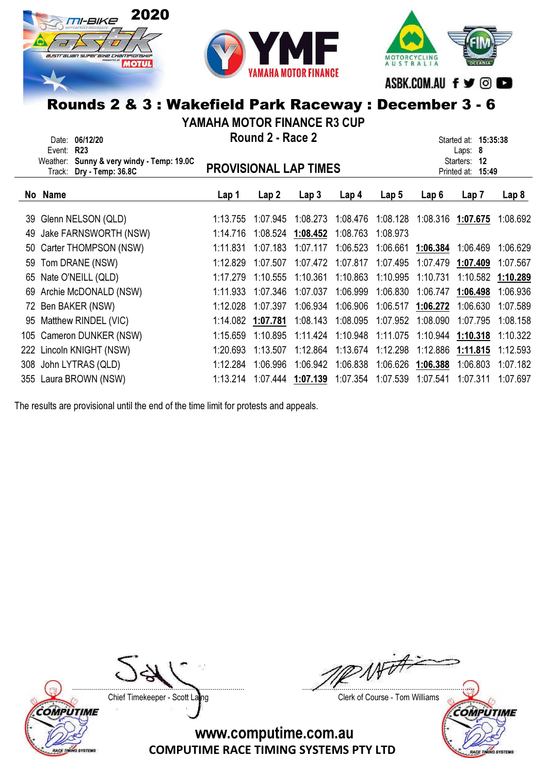





## Rounds 2 & 3 : Wakefield Park Raceway : December 3 - 6

YAMAHA MOTOR FINANCE R3 CUP

|                                                                                                          | YAMAHA MUTUK FINANCE K3 CUP               |          |                   |                   |                              |                  |                   |                                      |          |
|----------------------------------------------------------------------------------------------------------|-------------------------------------------|----------|-------------------|-------------------|------------------------------|------------------|-------------------|--------------------------------------|----------|
|                                                                                                          | 06/12/20<br>Date:<br><b>R23</b><br>Event: |          | Round 2 - Race 2  |                   |                              |                  |                   | Started at: 15:35:38<br>Laps: 8      |          |
| Weather: Sunny & very windy - Temp: 19.0C<br><b>PROVISIONAL LAP TIMES</b><br>Dry - Temp: 36.8C<br>Track: |                                           |          |                   |                   |                              |                  |                   | Starters:<br>12<br>Printed at: 15:49 |          |
|                                                                                                          | No Name                                   | Lap 1    | Lap 2             | Lap <sub>3</sub>  | Lap <sub>4</sub>             | Lap <sub>5</sub> | Lap6              | Lap 7                                | Lap 8    |
|                                                                                                          | 39 Glenn NELSON (QLD)                     | 1:13.755 | 1:07.945          | 1:08.273          | 1:08.476                     | 1:08.128         |                   | 1:08.316 1:07.675                    | 1:08.692 |
| 49                                                                                                       | Jake FARNSWORTH (NSW)                     | 1:14.716 |                   | 1:08.524 1:08.452 | 1:08.763                     | 1:08.973         |                   |                                      |          |
|                                                                                                          | 50 Carter THOMPSON (NSW)                  | 1:11.831 | 1:07.183          | 1:07.117          | 1:06.523                     | 1:06.661         | 1:06.384          | 1:06.469                             | 1:06.629 |
|                                                                                                          | 59 Tom DRANE (NSW)                        | 1:12.829 | 1:07.507          | 1:07.472          | 1:07.817                     | 1:07.495         | 1:07.479          | 1:07.409                             | 1:07.567 |
|                                                                                                          | 65 Nate O'NEILL (QLD)                     | 1:17.279 | 1:10.555          | 1:10.361          | 1:10.863                     | 1:10.995         | 1:10.731          | 1:10.582                             | 1:10.289 |
|                                                                                                          | 69 Archie McDONALD (NSW)                  | 1:11.933 | 1:07.346          | 1:07.037          | 1:06.999                     | 1:06.830         | 1:06.747          | 1:06.498                             | 1:06.936 |
|                                                                                                          | 72 Ben BAKER (NSW)                        | 1:12.028 | 1:07.397          | 1:06.934          | 1:06.906                     |                  | 1:06.517 1:06.272 | 1:06.630                             | 1:07.589 |
|                                                                                                          | 95 Matthew RINDEL (VIC)                   |          | 1:14.082 1:07.781 | 1:08.143          | 1:08.095                     | 1:07.952         | 1:08.090          | 1:07.795                             | 1:08.158 |
|                                                                                                          | 105 Cameron DUNKER (NSW)                  | 1:15.659 | 1:10.895          | 1:11.424          | 1:10.948                     | 1:11.075         | 1:10.944          | 1:10.318                             | 1:10.322 |
|                                                                                                          | 222 Lincoln KNIGHT (NSW)                  | 1:20.693 | 1:13.507          |                   | 1:12.864  1:13.674  1:12.298 |                  | 1:12.886          | 1:11.815                             | 1:12.593 |
|                                                                                                          | 308 John LYTRAS (QLD)                     | 1:12.284 | 1:06.996          | 1:06.942          | 1:06.838                     |                  | 1:06.626 1:06.388 | 1:06.803                             | 1:07.182 |
|                                                                                                          | 355 Laura BROWN (NSW)                     | 1:13.214 |                   | 1:07.444 1:07.139 | 1:07.354                     | 1:07.539         | 1:07.541          | 1:07.311                             | 1:07.697 |

The results are provisional until the end of the time limit for protests and appeals.



RACE TINING SYSTEM



Chief Timekeeper - Scott Laing Chief Timekeeper - Scott Laing

COMPUTIME

ACE TI

**SYSTEMS**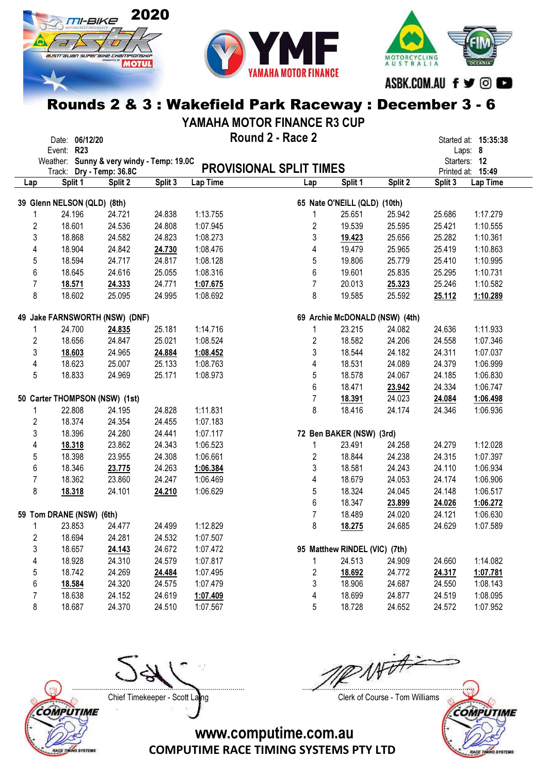



MOTORCYCLING<br>A U S T R A L I A ASBK.COM.AU f ♥ © ■

## Rounds 2 & 3 : Wakefield Park Raceway : December 3 - 6

YAMAHA MOTOR FINANCE R3 CUP

|                         | Date: 06/12/20                                                        |         |         |                      | Round 2 - Race 2               |                               |                                |         | Started at: 15:35:38              |
|-------------------------|-----------------------------------------------------------------------|---------|---------|----------------------|--------------------------------|-------------------------------|--------------------------------|---------|-----------------------------------|
|                         | Event: R23                                                            |         |         |                      |                                |                               |                                |         | Laps: 8                           |
|                         | Weather: Sunny & very windy - Temp: 19.0C<br>Track: Dry - Temp: 36.8C |         |         |                      | <b>PROVISIONAL SPLIT TIMES</b> |                               |                                |         | Starters: 12<br>Printed at: 15:49 |
| Lap                     | Split 1                                                               | Split 2 | Split 3 | Lap Time             | Lap                            | Split 1                       | Split 2                        | Split 3 | Lap Time                          |
|                         | 39 Glenn NELSON (QLD) (8th)                                           |         |         |                      |                                | 65 Nate O'NEILL (QLD) (10th)  |                                |         |                                   |
| 1                       | 24.196                                                                | 24.721  | 24.838  | 1:13.755             | 1                              | 25.651                        | 25.942                         | 25.686  | 1:17.279                          |
| $\overline{2}$          | 18.601                                                                | 24.536  | 24.808  | 1:07.945             | 2                              | 19.539                        | 25.595                         | 25.421  | 1:10.555                          |
| 3                       | 18.868                                                                | 24.582  | 24.823  | 1:08.273             | 3                              | 19.423                        | 25.656                         | 25.282  | 1:10.361                          |
| 4                       | 18.904                                                                | 24.842  | 24.730  | 1:08.476             | 4                              | 19.479                        | 25.965                         | 25.419  | 1:10.863                          |
| 5                       | 18.594                                                                | 24.717  | 24.817  | 1:08.128             | 5                              | 19.806                        | 25.779                         | 25.410  | 1:10.995                          |
| $\boldsymbol{6}$        | 18.645                                                                | 24.616  | 25.055  | 1:08.316             | 6                              | 19.601                        | 25.835                         | 25.295  | 1:10.731                          |
| $\overline{7}$          |                                                                       |         | 24.771  |                      | $\overline{7}$                 | 20.013                        |                                |         | 1:10.582                          |
| 8                       | 18.571<br>18.602                                                      | 24.333  | 24.995  | 1:07.675<br>1:08.692 | 8                              | 19.585                        | 25.323<br>25.592               | 25.246  |                                   |
|                         |                                                                       | 25.095  |         |                      |                                |                               |                                | 25.112  | 1:10.289                          |
|                         | 49 Jake FARNSWORTH (NSW) (DNF)                                        |         |         |                      |                                |                               | 69 Archie McDONALD (NSW) (4th) |         |                                   |
| 1                       | 24.700                                                                | 24.835  | 25.181  | 1:14.716             | 1                              | 23.215                        | 24.082                         | 24.636  | 1:11.933                          |
| $\overline{\mathbf{c}}$ | 18.656                                                                | 24.847  | 25.021  | 1:08.524             | 2                              | 18.582                        | 24.206                         | 24.558  | 1:07.346                          |
| 3                       | 18.603                                                                | 24.965  | 24.884  | 1:08.452             | 3                              | 18.544                        | 24.182                         | 24.311  | 1:07.037                          |
| 4                       | 18.623                                                                | 25.007  | 25.133  | 1:08.763             | 4                              | 18.531                        | 24.089                         | 24.379  | 1:06.999                          |
| 5                       | 18.833                                                                | 24.969  | 25.171  | 1:08.973             | 5                              | 18.578                        | 24.067                         | 24.185  | 1:06.830                          |
|                         |                                                                       |         |         |                      | 6                              | 18.471                        | 23.942                         | 24.334  | 1:06.747                          |
|                         | 50 Carter THOMPSON (NSW) (1st)                                        |         |         |                      | $\overline{7}$                 | 18.391                        | 24.023                         | 24.084  | 1:06.498                          |
| 1                       | 22.808                                                                | 24.195  | 24.828  | 1:11.831             | 8                              | 18.416                        | 24.174                         | 24.346  | 1:06.936                          |
| $\boldsymbol{2}$        | 18.374                                                                | 24.354  | 24.455  | 1:07.183             |                                |                               |                                |         |                                   |
| $\mathfrak{z}$          | 18.396                                                                | 24.280  | 24.441  | 1:07.117             |                                | 72 Ben BAKER (NSW) (3rd)      |                                |         |                                   |
| 4                       | 18.318                                                                | 23.862  | 24.343  | 1:06.523             | 1                              | 23.491                        | 24.258                         | 24.279  | 1:12.028                          |
| 5                       | 18.398                                                                | 23.955  | 24.308  | 1:06.661             | 2                              | 18.844                        | 24.238                         | 24.315  | 1:07.397                          |
| 6                       | 18.346                                                                | 23.775  | 24.263  | 1:06.384             | 3                              | 18.581                        | 24.243                         | 24.110  | 1:06.934                          |
| $\overline{7}$          | 18.362                                                                | 23.860  | 24.247  | 1:06.469             | 4                              | 18.679                        | 24.053                         | 24.174  | 1:06.906                          |
| 8                       | 18.318                                                                | 24.101  | 24.210  | 1:06.629             | 5                              | 18.324                        | 24.045                         | 24.148  | 1:06.517                          |
|                         |                                                                       |         |         |                      | 6                              | 18.347                        | 23.899                         | 24.026  | 1:06.272                          |
|                         | 59 Tom DRANE (NSW) (6th)                                              |         |         |                      | $\overline{7}$                 | 18.489                        | 24.020                         | 24.121  | 1:06.630                          |
| 1                       | 23.853                                                                | 24.477  | 24.499  | 1:12.829             | 8                              | 18.275                        | 24.685                         | 24.629  | 1:07.589                          |
| $\overline{2}$          | 18.694                                                                | 24.281  | 24.532  | 1:07.507             |                                |                               |                                |         |                                   |
| 3                       | 18.657                                                                | 24.143  | 24.672  | 1:07.472             |                                | 95 Matthew RINDEL (VIC) (7th) |                                |         |                                   |
| 4                       | 18.928                                                                | 24.310  | 24.579  | 1:07.817             | 1                              | 24.513                        | 24.909                         | 24.660  | 1:14.082                          |
| 5                       | 18.742                                                                | 24.269  | 24.484  | 1:07.495             | 2                              | 18.692                        | 24.772                         | 24.317  | 1:07.781                          |
| 6                       | 18.584                                                                | 24.320  | 24.575  | 1:07.479             | 3                              | 18.906                        | 24.687                         | 24.550  | 1:08.143                          |
| 7                       | 18.638                                                                | 24.152  | 24.619  | 1:07.409             | 4                              | 18.699                        | 24.877                         | 24.519  | 1:08.095                          |
| 8                       | 18.687                                                                | 24.370  | 24.510  | 1:07.567             | 5                              | 18.728                        | 24.652                         | 24.572  | 1:07.952                          |



Chief Timekeeper - Scott Laing Chief Timekeeper - Scott Laing

Artiti ....................................................................................... .......................................................................................

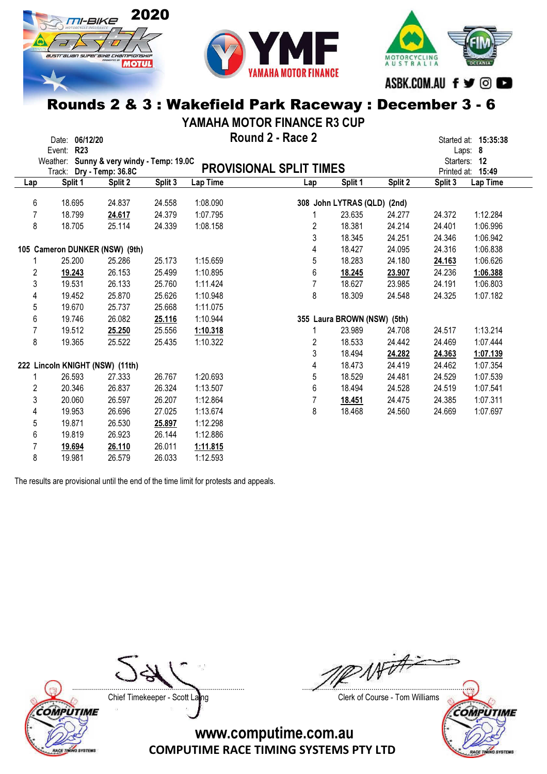



MOTORCYCLING<br>AUSTRALIA ASBK.COM.AU f y @

#### Rounds 2 & 3 : Wakefield Park Raceway : December 3 - 6

YAMAHA MOTOR FINANCE R3 CUP

|                         | Event: | Date: 06/12/20<br><b>R23</b>    |                                           |         |                 | Round 2 - Race 2               |                |                             |         |              | Started at: 15:35:38<br>Laps: 8 |
|-------------------------|--------|---------------------------------|-------------------------------------------|---------|-----------------|--------------------------------|----------------|-----------------------------|---------|--------------|---------------------------------|
|                         |        |                                 | Weather: Sunny & very windy - Temp: 19.0C |         |                 | <b>PROVISIONAL SPLIT TIMES</b> |                |                             |         | Starters: 12 |                                 |
|                         |        | Track: Dry - Temp: 36.8C        |                                           |         |                 |                                |                |                             |         |              | Printed at: 15:49               |
| Lap                     |        | Split 1                         | Split 2                                   | Split 3 | <b>Lap Time</b> | Lap                            |                | Split 1                     | Split 2 | Split 3      | Lap Time                        |
| 6                       |        | 18.695                          | 24.837                                    | 24.558  | 1:08.090        |                                |                | 308 John LYTRAS (QLD) (2nd) |         |              |                                 |
| 7                       |        | 18.799                          | 24.617                                    | 24.379  | 1:07.795        |                                |                | 23.635                      | 24.277  | 24.372       | 1:12.284                        |
| 8                       |        | 18.705                          | 25.114                                    | 24.339  | 1:08.158        |                                | 2              | 18.381                      | 24.214  | 24.401       | 1:06.996                        |
|                         |        |                                 |                                           |         |                 |                                | 3              | 18.345                      | 24.251  | 24.346       | 1:06.942                        |
|                         |        |                                 | 105 Cameron DUNKER (NSW) (9th)            |         |                 |                                | 4              | 18.427                      | 24.095  | 24.316       | 1:06.838                        |
|                         |        | 25.200                          | 25.286                                    | 25.173  | 1:15.659        |                                | 5              | 18.283                      | 24.180  | 24.163       | 1:06.626                        |
| $\overline{\mathbf{c}}$ |        | 19.243                          | 26.153                                    | 25.499  | 1:10.895        |                                | 6              | 18.245                      | 23.907  | 24.236       | 1:06.388                        |
| 3                       |        | 19.531                          | 26.133                                    | 25.760  | 1:11.424        |                                | $\overline{7}$ | 18.627                      | 23.985  | 24.191       | 1:06.803                        |
| 4                       |        | 19.452                          | 25.870                                    | 25.626  | 1:10.948        |                                | 8              | 18.309                      | 24.548  | 24.325       | 1:07.182                        |
| 5                       |        | 19.670                          | 25.737                                    | 25.668  | 1:11.075        |                                |                |                             |         |              |                                 |
| 6                       |        | 19.746                          | 26.082                                    | 25.116  | 1:10.944        |                                |                | 355 Laura BROWN (NSW) (5th) |         |              |                                 |
| 7                       |        | 19.512                          | 25.250                                    | 25.556  | 1:10.318        |                                |                | 23.989                      | 24.708  | 24.517       | 1:13.214                        |
| 8                       |        | 19.365                          | 25.522                                    | 25.435  | 1:10.322        |                                | 2              | 18.533                      | 24.442  | 24.469       | 1:07.444                        |
|                         |        |                                 |                                           |         |                 |                                | 3              | 18.494                      | 24.282  | 24.363       | 1:07.139                        |
|                         |        | 222 Lincoln KNIGHT (NSW) (11th) |                                           |         |                 |                                | 4              | 18.473                      | 24.419  | 24.462       | 1:07.354                        |
|                         |        | 26.593                          | 27.333                                    | 26.767  | 1:20.693        |                                | 5              | 18.529                      | 24.481  | 24.529       | 1:07.539                        |
| 2                       |        | 20.346                          | 26.837                                    | 26.324  | 1:13.507        |                                | 6              | 18.494                      | 24.528  | 24.519       | 1:07.541                        |
| 3                       |        | 20.060                          | 26.597                                    | 26.207  | 1:12.864        |                                | $\overline{7}$ | 18.451                      | 24.475  | 24.385       | 1:07.311                        |
| 4                       |        | 19.953                          | 26.696                                    | 27.025  | 1:13.674        |                                | 8              | 18.468                      | 24.560  | 24.669       | 1:07.697                        |
| 5                       |        | 19.871                          | 26.530                                    | 25.897  | 1:12.298        |                                |                |                             |         |              |                                 |
| 6                       |        | 19.819                          | 26.923                                    | 26.144  | 1:12.886        |                                |                |                             |         |              |                                 |
| 7                       |        | 19.694                          | 26.110                                    | 26.011  | 1:11.815        |                                |                |                             |         |              |                                 |
| 8                       |        | 19.981                          | 26.579                                    | 26.033  | 1:12.593        |                                |                |                             |         |              |                                 |

The results are provisional until the end of the time limit for protests and appeals.



Chief Timekeeper - Scott Laing Chief Timekeeper - Scott Laing

....................................................................................... .......................................................................................

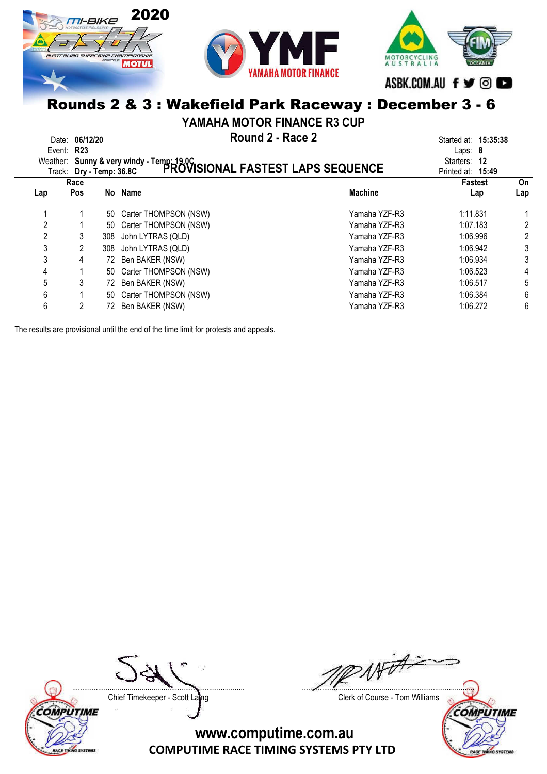



ASBK.COM.AU f y @

MOTORCYCLING<br>AUSTRALIA

### Rounds 2 & 3 : Wakefield Park Raceway : December 3 - 6

YAMAHA MOTOR FINANCE R3 CUP

| Date: 06/12/20<br>Event: R23<br>Track: Dry - Temp: 36.8C |            |     | Round 2 - Race 2<br>Weather: Sunny & very windy - Temp: 19.0C<br>Track: Dry - Temp: 36.8C PROVISIONAL FASTEST LAPS SEQUENCE |                | Started at: <b>15:35:38</b><br>Laps: $8$<br>Starters: 12<br>Printed at: 15:49 |                |
|----------------------------------------------------------|------------|-----|-----------------------------------------------------------------------------------------------------------------------------|----------------|-------------------------------------------------------------------------------|----------------|
|                                                          | Race       |     |                                                                                                                             |                | Fastest                                                                       | On             |
| Lap                                                      | <b>Pos</b> |     | No Name                                                                                                                     | <b>Machine</b> | Lap                                                                           | Lap            |
|                                                          |            | 50  | Carter THOMPSON (NSW)                                                                                                       | Yamaha YZF-R3  | 1:11.831                                                                      |                |
| 2                                                        |            | 50  | Carter THOMPSON (NSW)                                                                                                       | Yamaha YZF-R3  | 1:07.183                                                                      |                |
| 2                                                        | 3          | 308 | John LYTRAS (QLD)                                                                                                           | Yamaha YZF-R3  | 1:06.996                                                                      | $\overline{c}$ |
| 3                                                        | 2          | 308 | John LYTRAS (QLD)                                                                                                           | Yamaha YZF-R3  | 1:06.942                                                                      | 3              |
| 3                                                        | 4          |     | 72 Ben BAKER (NSW)                                                                                                          | Yamaha YZF-R3  | 1:06.934                                                                      | 3              |
| 4                                                        |            | 50  | Carter THOMPSON (NSW)                                                                                                       | Yamaha YZF-R3  | 1:06.523                                                                      | 4              |
| 5                                                        | 3          |     | 72 Ben BAKER (NSW)                                                                                                          | Yamaha YZF-R3  | 1:06.517                                                                      | 5              |
| 6                                                        |            | 50  | Carter THOMPSON (NSW)                                                                                                       | Yamaha YZF-R3  | 1:06.384                                                                      | 6              |
| 6                                                        | 2          |     | 72 Ben BAKER (NSW)                                                                                                          | Yamaha YZF-R3  | 1:06.272                                                                      | 6              |
|                                                          |            |     |                                                                                                                             |                |                                                                               |                |

The results are provisional until the end of the time limit for protests and appeals.



Witt ....................................................................................... .......................................................................................

Chief Timekeeper - Scott Laing Chief Timekeeper - Scott Laing

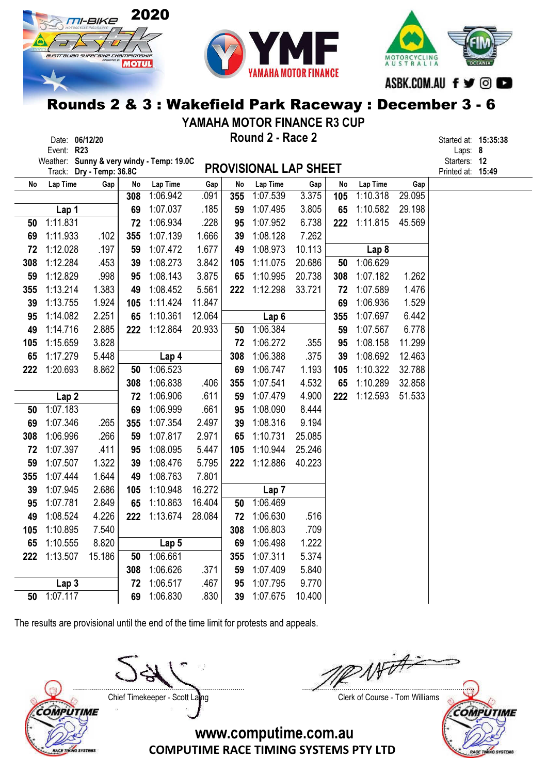





## Rounds 2 & 3 : Wakefield Park Raceway : December 3 - 6

YAMAHA MOTOR FINANCE R3 CUP

|     | Date: 06/12/20<br>Event: R23              |                          |     |                      |             |           | Round 2 - Race 2             |              |           |                      |        | Started at: 15:35:38<br>Laps: 8 |  |
|-----|-------------------------------------------|--------------------------|-----|----------------------|-------------|-----------|------------------------------|--------------|-----------|----------------------|--------|---------------------------------|--|
|     | Weather: Sunny & very windy - Temp: 19.0C |                          |     |                      |             |           | <b>PROVISIONAL LAP SHEET</b> |              |           |                      |        | Starters: 12                    |  |
|     | Lap Time                                  | Track: Dry - Temp: 36.8C | No  |                      |             |           |                              |              |           |                      | Gap    | Printed at: 15:49               |  |
| No  |                                           | Gap                      | 308 | Lap Time<br>1:06.942 | Gap<br>.091 | No<br>355 | Lap Time<br>1:07.539         | Gap<br>3.375 | No<br>105 | Lap Time<br>1:10.318 | 29.095 |                                 |  |
|     | Lap 1                                     |                          | 69  | 1:07.037             | .185        | 59        | 1:07.495                     | 3.805        | 65        | 1:10.582             | 29.198 |                                 |  |
| 50  | 1:11.831                                  |                          | 72  | 1:06.934             | .228        | 95        | 1:07.952                     | 6.738        | 222       | 1:11.815             | 45.569 |                                 |  |
| 69  | 1:11.933                                  | .102                     | 355 | 1:07.139             | 1.666       | 39        | 1:08.128                     | 7.262        |           |                      |        |                                 |  |
| 72  | 1:12.028                                  | .197                     | 59  | 1:07.472             | 1.677       | 49        | 1:08.973                     | 10.113       |           | Lap <sub>8</sub>     |        |                                 |  |
| 308 | 1:12.284                                  | .453                     | 39  | 1:08.273             | 3.842       | 105       | 1:11.075                     | 20.686       | 50        | 1:06.629             |        |                                 |  |
| 59  | 1:12.829                                  | .998                     | 95  | 1:08.143             | 3.875       | 65        | 1:10.995                     | 20.738       | 308       | 1:07.182             | 1.262  |                                 |  |
| 355 | 1:13.214                                  | 1.383                    | 49  | 1:08.452             | 5.561       | 222       | 1:12.298                     | 33.721       | 72        | 1:07.589             | 1.476  |                                 |  |
| 39  | 1:13.755                                  | 1.924                    | 105 | 1:11.424             | 11.847      |           |                              |              | 69        | 1:06.936             | 1.529  |                                 |  |
| 95  | 1:14.082                                  | 2.251                    | 65  | 1:10.361             | 12.064      |           | Lap <sub>6</sub>             |              | 355       | 1:07.697             | 6.442  |                                 |  |
| 49  | 1:14.716                                  | 2.885                    | 222 | 1:12.864             | 20.933      | 50        | 1:06.384                     |              | 59        | 1:07.567             | 6.778  |                                 |  |
| 105 | 1:15.659                                  | 3.828                    |     |                      |             | 72        | 1:06.272                     | .355         | 95        | 1:08.158             | 11.299 |                                 |  |
| 65  | 1:17.279                                  | 5.448                    |     | Lap 4                |             | 308       | 1:06.388                     | .375         | 39        | 1:08.692             | 12.463 |                                 |  |
| 222 | 1:20.693                                  | 8.862                    | 50  | 1:06.523             |             | 69        | 1:06.747                     | 1.193        | 105       | 1:10.322             | 32.788 |                                 |  |
|     |                                           |                          | 308 | 1:06.838             | .406        | 355       | 1:07.541                     | 4.532        | 65        | 1:10.289             | 32.858 |                                 |  |
|     | Lap <sub>2</sub>                          |                          | 72  | 1:06.906             | .611        | 59        | 1:07.479                     | 4.900        | 222       | 1:12.593             | 51.533 |                                 |  |
| 50  | 1:07.183                                  |                          | 69  | 1:06.999             | .661        | 95        | 1:08.090                     | 8.444        |           |                      |        |                                 |  |
| 69  | 1:07.346                                  | .265                     | 355 | 1:07.354             | 2.497       | 39        | 1:08.316                     | 9.194        |           |                      |        |                                 |  |
| 308 | 1:06.996                                  | .266                     | 59  | 1:07.817             | 2.971       | 65        | 1:10.731                     | 25.085       |           |                      |        |                                 |  |
| 72  | 1:07.397                                  | .411                     | 95  | 1:08.095             | 5.447       | 105       | 1:10.944                     | 25.246       |           |                      |        |                                 |  |
| 59  | 1:07.507                                  | 1.322                    | 39  | 1:08.476             | 5.795       | 222       | 1:12.886                     | 40.223       |           |                      |        |                                 |  |
| 355 | 1:07.444                                  | 1.644                    | 49  | 1:08.763             | 7.801       |           |                              |              |           |                      |        |                                 |  |
| 39  | 1:07.945                                  | 2.686                    | 105 | 1:10.948             | 16.272      |           | Lap <sub>7</sub>             |              |           |                      |        |                                 |  |
| 95  | 1:07.781                                  | 2.849                    | 65  | 1:10.863             | 16.404      | 50        | 1:06.469                     |              |           |                      |        |                                 |  |
| 49  | 1:08.524                                  | 4.226                    | 222 | 1:13.674             | 28.084      | 72        | 1:06.630                     | .516         |           |                      |        |                                 |  |
| 105 | 1:10.895                                  | 7.540                    |     |                      |             | 308       | 1:06.803                     | .709         |           |                      |        |                                 |  |
| 65  | 1:10.555                                  | 8.820                    |     | Lap 5                |             | 69        | 1:06.498                     | 1.222        |           |                      |        |                                 |  |
| 222 | 1:13.507                                  | 15.186                   | 50  | 1:06.661             |             | 355       | 1:07.311                     | 5.374        |           |                      |        |                                 |  |
|     |                                           |                          | 308 | 1:06.626             | .371        | 59        | 1:07.409                     | 5.840        |           |                      |        |                                 |  |
|     | Lap <sub>3</sub>                          |                          | 72  | 1:06.517             | .467        | 95        | 1:07.795                     | 9.770        |           |                      |        |                                 |  |
| 50  | 1:07.117                                  |                          | 69  | 1:06.830             | .830        | 39        | 1:07.675                     | 10.400       |           |                      |        |                                 |  |

The results are provisional until the end of the time limit for protests and appeals.

COMPUTIME ACE TINING SYSTEMS

....................................................................................... .......................................................................................

Chief Timekeeper - Scott Laing Chief Timekeeper - Scott Laing

**COMPUTIME** 

ACE TI

**SYSTEMS**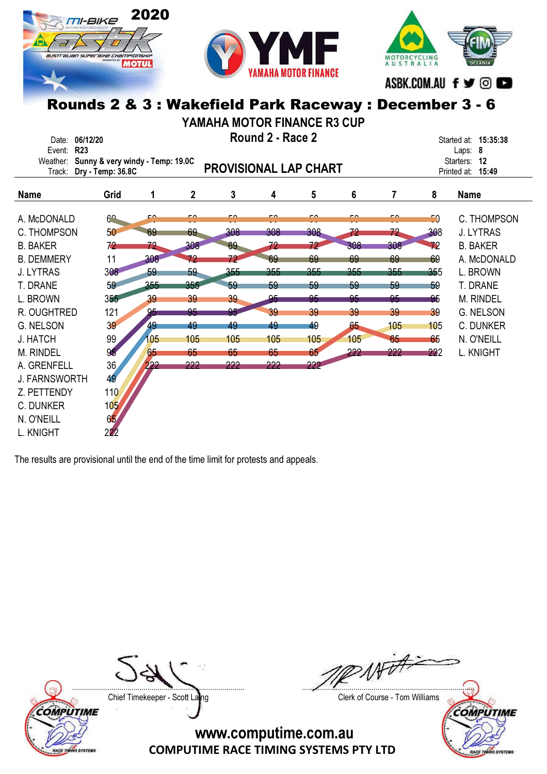



MOTORCYCLING<br>AUSTRALIA ASBK.COM.AU f ♥ © ■

## Rounds 2 & 3 : Wakefield Park Raceway : December 3 - 6

YAMAHA MOTOR FINANCE R3 CUP

| Date:<br>Event:                                                                                                                                                                    | 06/12/20<br><b>R23</b>                                                                       |                                                                          |                                                                                 |                                                                                 | Round 2 - Race 2                                                                |                                                                                 |                                                                           |                                                                            |                                                                    | Started at: 15:35:38<br>Laps: 8                                                                                                                                    |
|------------------------------------------------------------------------------------------------------------------------------------------------------------------------------------|----------------------------------------------------------------------------------------------|--------------------------------------------------------------------------|---------------------------------------------------------------------------------|---------------------------------------------------------------------------------|---------------------------------------------------------------------------------|---------------------------------------------------------------------------------|---------------------------------------------------------------------------|----------------------------------------------------------------------------|--------------------------------------------------------------------|--------------------------------------------------------------------------------------------------------------------------------------------------------------------|
| Weather:<br>Track:                                                                                                                                                                 | Sunny & very windy - Temp: 19.0C<br>Dry - Temp: 36.8C                                        |                                                                          |                                                                                 | <b>PROVISIONAL LAP CHART</b>                                                    |                                                                                 |                                                                                 |                                                                           |                                                                            |                                                                    | Starters: 12<br>Printed at: 15:49                                                                                                                                  |
| <b>Name</b>                                                                                                                                                                        | Grid                                                                                         | 1                                                                        | $\overline{2}$                                                                  | 3                                                                               | 4                                                                               | 5                                                                               | 6                                                                         | 7                                                                          | 8                                                                  | <b>Name</b>                                                                                                                                                        |
| A. McDONALD<br>C. THOMPSON<br><b>B. BAKER</b><br><b>B. DEMMERY</b><br><b>J. LYTRAS</b><br>T. DRANE<br>L. BROWN<br>R. OUGHTRED<br>G. NELSON<br>J. HATCH<br>M. RINDEL<br>A. GRENFELL | $\mathcal{C}^{\bullet}$<br>50<br>72<br>11<br>308<br>59<br>355<br>121<br>39<br>99<br>95<br>36 | c۵<br>69<br>72<br>308<br>59<br>355<br>39<br>95<br>49<br>105<br>65<br>222 | <u>rn</u><br>69<br>308<br>72<br>59<br>355<br>39<br>95<br>49<br>105<br>65<br>222 | <u>rn</u><br>308<br>69<br>72<br>355<br>59<br>39<br>95<br>49<br>105<br>65<br>222 | <u>rn</u><br>308<br>72<br>69<br>355<br>59<br>95<br>39<br>49<br>105<br>65<br>222 | <u>ra</u><br>308<br>72<br>69<br>355<br>59<br>95<br>39<br>49<br>105<br>65<br>222 | <u>rn</u><br>72<br>308<br>69<br>355<br>59<br>95<br>39<br>65<br>105<br>222 | <u>- A</u><br>72<br>308<br>69<br>355<br>59<br>95<br>39<br>105<br>65<br>222 | 50<br>308<br>72<br>69<br>355<br>59<br>95<br>39<br>105<br>65<br>222 | C. THOMPSON<br><b>J. LYTRAS</b><br><b>B. BAKER</b><br>A. McDONALD<br>L. BROWN<br>T. DRANE<br><b>M. RINDEL</b><br>G. NELSON<br>C. DUNKER<br>N. O'NEILL<br>L. KNIGHT |
| <b>J. FARNSWORTH</b><br>Z. PETTENDY<br>C. DUNKER<br>N. O'NEILL<br>L. KNIGHT                                                                                                        | 49<br>110<br>105<br>65<br>222                                                                |                                                                          |                                                                                 |                                                                                 |                                                                                 |                                                                                 |                                                                           |                                                                            |                                                                    |                                                                                                                                                                    |

The results are provisional until the end of the time limit for protests and appeals.



Chief Timekeeper - Scott Laing Chief Timekeeper - Scott Laing

....................................................................................... .......................................................................................

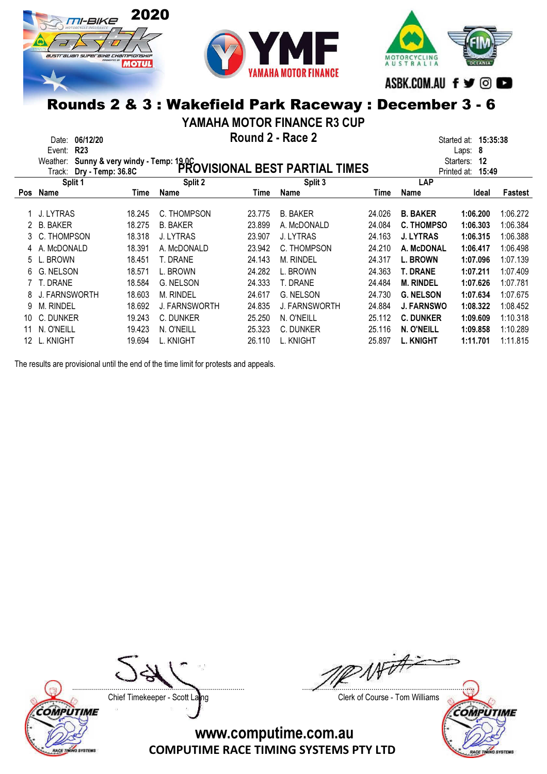



MOTORCYCLING<br>AUSTRALIA ASBK.COM.AU f ♥ © ■

### Rounds 2 & 3 : Wakefield Park Raceway : December 3 - 6

YAMAHA MOTOR FINANCE R3 CUP

|     | Date:<br>Event:<br>Weather:<br>Track: | 06/12/20<br><b>R23</b><br>Sunny & very windy - Temp: 19.0C<br>Dry - Temp: 36.8C |        |                  | Round 2 - Race 2 | PROVISIONAL BEST PARTIAL TIMES |        |                   | 15:35:38<br>Started at:<br>8<br>Laps:<br>12<br>Starters:<br>15:49<br>Printed at: |          |
|-----|---------------------------------------|---------------------------------------------------------------------------------|--------|------------------|------------------|--------------------------------|--------|-------------------|----------------------------------------------------------------------------------|----------|
|     | Split 1                               |                                                                                 |        | Split 2          |                  | Split 3                        |        | LAP               |                                                                                  |          |
| Pos | Name                                  |                                                                                 | Time   | Name             | Time             | <b>Name</b>                    | Time   | Name              | Ideal                                                                            | Fastest  |
|     | J. LYTRAS                             |                                                                                 | 18.245 | C. THOMPSON      | 23.775           | <b>B. BAKER</b>                | 24.026 | <b>B. BAKER</b>   | 1:06.200                                                                         | 1:06.272 |
|     | <b>B. BAKER</b>                       |                                                                                 | 18.275 | <b>B. BAKER</b>  | 23.899           | A. McDONALD                    | 24.084 | <b>C. THOMPSO</b> | 1:06.303                                                                         | 1:06.384 |
| 3.  | C. THOMPSON                           |                                                                                 | 18.318 | J. LYTRAS        | 23.907           | <b>J. LYTRAS</b>               | 24.163 | <b>J. LYTRAS</b>  | 1:06.315                                                                         | 1:06.388 |
|     | A. McDONALD                           |                                                                                 | 18.391 | A. McDONALD      | 23.942           | C. THOMPSON                    | 24.210 | A. McDONAL        | 1:06.417                                                                         | 1:06.498 |
| 5   | L. BROWN                              |                                                                                 | 18.451 | T. DRANE         | 24.143           | <b>M. RINDEL</b>               | 24.317 | <b>L. BROWN</b>   | 1:07.096                                                                         | 1:07.139 |
| 6   | G. NELSON                             |                                                                                 | 18.571 | L. BROWN         | 24.282           | L. BROWN                       | 24.363 | <b>T. DRANE</b>   | 1:07.211                                                                         | 1:07.409 |
|     | T. DRANE                              |                                                                                 | 18.584 | <b>G. NELSON</b> | 24.333           | T. DRANE                       | 24.484 | <b>M. RINDEL</b>  | 1:07.626                                                                         | 1:07.781 |
| 8   | FARNSWORTH                            |                                                                                 | 18.603 | <b>M. RINDEL</b> | 24.617           | <b>G. NELSON</b>               | 24.730 | <b>G. NELSON</b>  | 1:07.634                                                                         | 1:07.675 |
| 9   | <b>M. RINDEL</b>                      |                                                                                 | 18.692 | J. FARNSWORTH    | 24.835           | <b>J. FARNSWORTH</b>           | 24.884 | <b>J. FARNSWO</b> | 1:08.322                                                                         | 1:08.452 |
| 10  | C. DUNKER                             |                                                                                 | 19.243 | C. DUNKER        | 25.250           | N. O'NEILL                     | 25.112 | <b>C. DUNKER</b>  | 1:09.609                                                                         | 1:10.318 |
|     | N. O'NEILL                            |                                                                                 | 19.423 | N. O'NEILL       | 25.323           | C. DUNKER                      | 25.116 | N. O'NEILL        | 1:09.858                                                                         | 1:10.289 |
| 12  | L. KNIGHT                             |                                                                                 | 19.694 | L. KNIGHT        | 26.110           | L. KNIGHT                      | 25.897 | <b>L. KNIGHT</b>  | 1:11.701                                                                         | 1:11.815 |

The results are provisional until the end of the time limit for protests and appeals.

Chief Timekeeper - Scott Laing Chief Timekeeper - Scott Laing

COMPUTIME

ACE TINING SYSTEM

AFOFF ....................................................................................... .......................................................................................

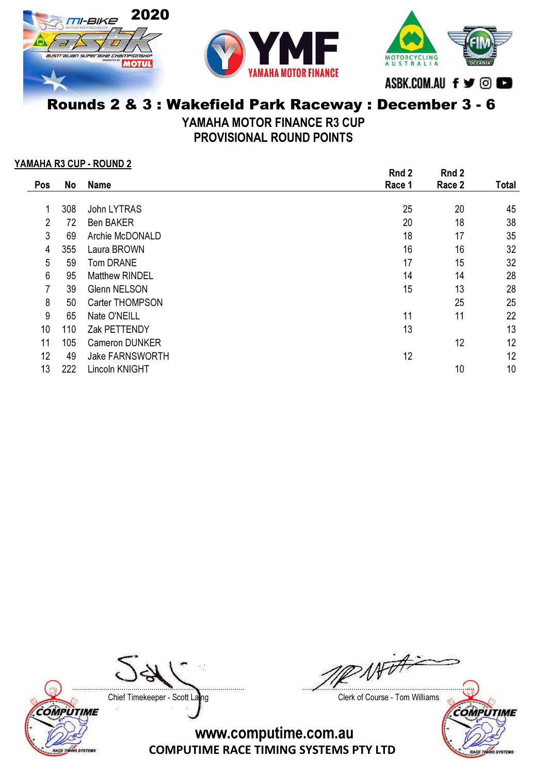



MOTORCYCLING<br>A U S T R A L I A ASBK.COM.AU f ♥ © ■

# Rounds 2 & 3 : Wakefield Park Raceway : December 3 - 6

YAMAHA MOTOR FINANCE R3 CUP

PROVISIONAL ROUND POINTS

#### YAMAHA R3 CUP - ROUND 2

|                |     |                        | Rnd 2  | Rnd 2  |              |
|----------------|-----|------------------------|--------|--------|--------------|
| Pos            | No  | <b>Name</b>            | Race 1 | Race 2 | <b>Total</b> |
|                |     |                        |        |        |              |
| 1              | 308 | John LYTRAS            | 25     | 20     | 45           |
| $\overline{2}$ | 72  | <b>Ben BAKER</b>       | 20     | 18     | 38           |
| $\mathbf{3}$   | 69  | Archie McDONALD        | 18     | 17     | 35           |
| 4              | 355 | Laura BROWN            | 16     | 16     | 32           |
| 5              | 59  | Tom DRANE              | 17     | 15     | 32           |
| 6              | 95  | <b>Matthew RINDEL</b>  | 14     | 14     | 28           |
| 7              | 39  | <b>Glenn NELSON</b>    | 15     | 13     | 28           |
| 8              | 50  | Carter THOMPSON        |        | 25     | 25           |
| 9              | 65  | Nate O'NEILL           | 11     | 11     | 22           |
| 10             | 110 | Zak PETTENDY           | 13     |        | 13           |
| 11             | 105 | <b>Cameron DUNKER</b>  |        | 12     | 12           |
| 12             | 49  | <b>Jake FARNSWORTH</b> | 12     |        | 12           |
| 13             | 222 | Lincoln KNIGHT         |        | 10     | 10           |
|                |     |                        |        |        |              |

Chief Timekeeper - Scott Laing Chief Timekeeper - Scott Laing



....................................................................................... .......................................................................................

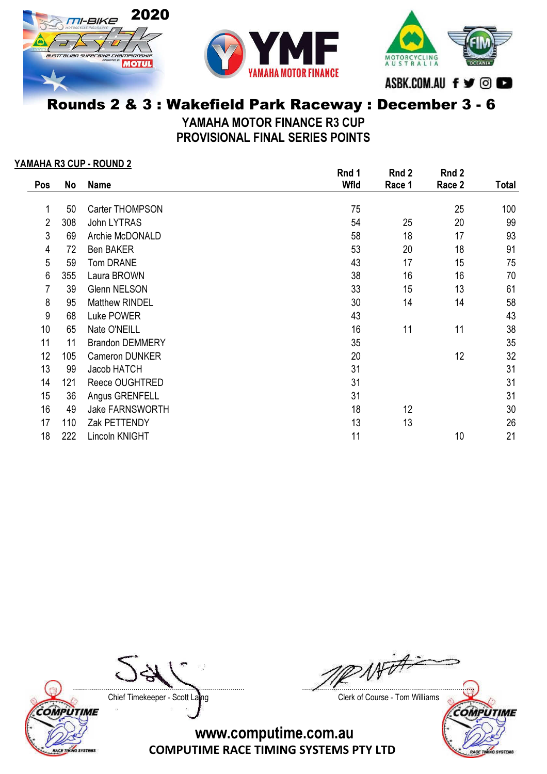





### Rounds 2 & 3 : Wakefield Park Raceway : December 3 - 6

YAMAHA MOTOR FINANCE R3 CUP PROVISIONAL FINAL SERIES POINTS

#### YAMAHA R3 CUP - ROUND 2

|                |     |                        | Rnd 1 | Rnd 2  | Rnd 2  |              |
|----------------|-----|------------------------|-------|--------|--------|--------------|
| Pos            | No  | <b>Name</b>            | Wfld  | Race 1 | Race 2 | <b>Total</b> |
|                |     |                        |       |        |        |              |
| 1              | 50  | Carter THOMPSON        | 75    |        | 25     | 100          |
| $\overline{2}$ | 308 | John LYTRAS            | 54    | 25     | 20     | 99           |
| 3              | 69  | Archie McDONALD        | 58    | 18     | 17     | 93           |
| 4              | 72  | <b>Ben BAKER</b>       | 53    | 20     | 18     | 91           |
| 5              | 59  | <b>Tom DRANE</b>       | 43    | 17     | 15     | 75           |
| 6              | 355 | Laura BROWN            | 38    | 16     | 16     | 70           |
| 7              | 39  | <b>Glenn NELSON</b>    | 33    | 15     | 13     | 61           |
| 8              | 95  | <b>Matthew RINDEL</b>  | 30    | 14     | 14     | 58           |
| 9              | 68  | Luke POWER             | 43    |        |        | 43           |
| 10             | 65  | Nate O'NEILL           | 16    | 11     | 11     | 38           |
| 11             | 11  | <b>Brandon DEMMERY</b> | 35    |        |        | 35           |
| 12             | 105 | Cameron DUNKER         | 20    |        | 12     | 32           |
| 13             | 99  | Jacob HATCH            | 31    |        |        | 31           |
| 14             | 121 | Reece OUGHTRED         | 31    |        |        | 31           |
| 15             | 36  | Angus GRENFELL         | 31    |        |        | 31           |
| 16             | 49  | Jake FARNSWORTH        | 18    | 12     |        | 30           |
| 17             | 110 | Zak PETTENDY           | 13    | 13     |        | 26           |
| 18             | 222 | Lincoln KNIGHT         | 11    |        | 10     | 21           |

Chief Timekeeper - Scott Laing Chief Timekeeper - Scott Laing

COMPUTIME

RACE TINING SYSTEMS

....................................................................................... .......................................................................................